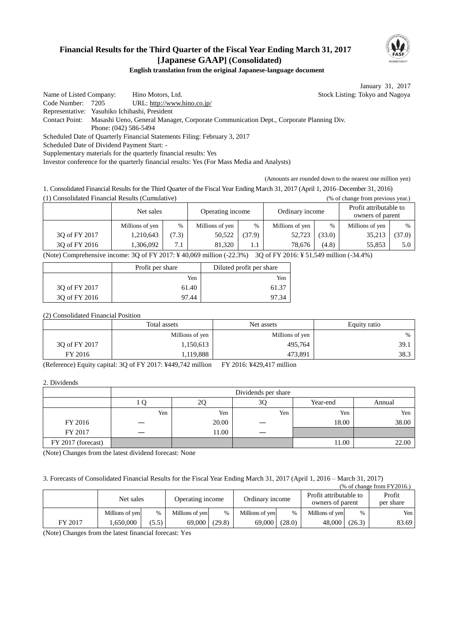## **Financial Results for the Third Quarter of the Fiscal Year Ending March 31, 2017 [Japanese GAAP] (Consolidated)**



**English translation from the original Japanese-language document**

January 31, 2017

Name of Listed Company: Hino Motors, Ltd. Stock Listing: Tokyo and Nagoya Code Number: 7205 URL: http://www.hino.co.jp/ Representative: Yasuhiko Ichihashi, President Contact Point: Masashi Ueno, General Manager, Corporate Communication Dept., Corporate Planning Div. Phone: (042) 586-5494 Scheduled Date of Quarterly Financial Statements Filing: February 3, 2017 Scheduled Date of Dividend Payment Start: - Supplementary materials for the quarterly financial results: Yes

Investor conference for the quarterly financial results: Yes (For Mass Media and Analysts)

(Amounts are rounded down to the nearest one million yen)

1. Consolidated Financial Results for the Third Quarter of the Fiscal Year Ending March 31, 2017 (April 1, 2016–December 31, 2016) (1) Consolidated Financial Results (Cumulative) (% of change from previous year.)

|               | Net sales       |       | Operating income |         | Ordinary income |        | Profit attributable to<br>owners of parent |        |
|---------------|-----------------|-------|------------------|---------|-----------------|--------|--------------------------------------------|--------|
|               | Millions of yen | $\%$  | Millions of yen  | $\%$    | Millions of yen | $\%$   | Millions of yen                            | $\%$   |
| 3Q of FY 2017 | 1,210,643       | (7.3) | 50,522           | (37.9)  | 52,723          | (33.0) | 35,213                                     | (37.0) |
| 30 of FY 2016 | 1,306,092       | 7.1   | 81.320           | $\pm 1$ | 78.676          | (4.8)  | 55.853                                     | 5.0    |

(Note) Comprehensive income: 3Q of FY 2017: ¥ 40,069 million (-22.3%) 3Q of FY 2016: ¥ 51,549 million (-34.4%)

|               | Profit per share | Diluted profit per share |
|---------------|------------------|--------------------------|
|               | Yen              | Yen                      |
| 30 of FY 2017 | 61.40            | 61.37                    |
| 30 of FY 2016 | 97.44            |                          |

(2) Consolidated Financial Position

|               | Total assets    | Net assets      | Equity ratio |  |
|---------------|-----------------|-----------------|--------------|--|
|               | Millions of yen | Millions of yen | $\%$         |  |
| 30 of FY 2017 | 1,150,613       | 495,764         | 39.1         |  |
| FY 2016       | 1,119,888       | 473,891         | 38.3         |  |

(Reference) Equity capital: 3Q of FY 2017: ¥449,742 million FY 2016: ¥429,417 million

2. Dividends

|                    | Dividends per share |       |     |          |        |  |
|--------------------|---------------------|-------|-----|----------|--------|--|
|                    |                     | 20    | 3Q  | Year-end | Annual |  |
|                    | Yen                 | Yen   | Yen | Yen      | Yen    |  |
| FY 2016            |                     | 20.00 |     | 18.00    | 38.00  |  |
| FY 2017            |                     | 11.00 |     |          |        |  |
| FY 2017 (forecast) |                     |       |     | 11.00    | 22.00  |  |

(Note) Changes from the latest dividend forecast: None

3. Forecasts of Consolidated Financial Results for the Fiscal Year Ending March 31, 2017 (April 1, 2016 – March 31, 2017)

| $%$ of change from FY2016.) |                 |       |                  |        |                 |        |                                            |        |                     |
|-----------------------------|-----------------|-------|------------------|--------|-----------------|--------|--------------------------------------------|--------|---------------------|
|                             | Net sales       |       | Operating income |        | Ordinary income |        | Profit attributable to<br>owners of parent |        | Profit<br>per share |
|                             | Millions of yen | $\%$  | Millions of yen  | %      | Millions of yen | $\%$   | Millions of yen                            | %      | Yen I               |
| FY 2017                     | 1.650.000       | (5.5) | 69,000           | (29.8) | 69,000          | (28.0) | 48,000                                     | (26.3) | 83.69               |

(Note) Changes from the latest financial forecast: Yes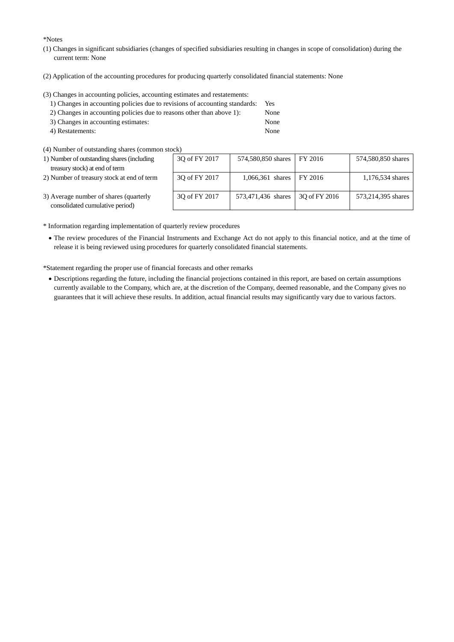\*Notes

- (1) Changes in significant subsidiaries (changes of specified subsidiaries resulting in changes in scope of consolidation) during the current term: None
- (2) Application of the accounting procedures for producing quarterly consolidated financial statements: None

(3) Changes in accounting policies, accounting estimates and restatements:

| 1) Changes in accounting policies due to revisions of accounting standards: | <b>Yes</b> |
|-----------------------------------------------------------------------------|------------|
| 2) Changes in accounting policies due to reasons other than above 1:        | None       |
| 3) Changes in accounting estimates:                                         | None       |
| 4) Restatements:                                                            | None       |

 $(4)$  Number of outstanding shares (common stock)

| 1) Number of outstanding shares (including | 3Q of F |
|--------------------------------------------|---------|
| treasury stock) at end of term             |         |

2) Number of treasury stock at end of term

| ock)          |                    |               |                    |
|---------------|--------------------|---------------|--------------------|
| 3Q of FY 2017 | 574,580,850 shares | FY 2016       | 574,580,850 shares |
| 3Q of FY 2017 | 1,066,361 shares   | FY 2016       | 1,176,534 shares   |
| 3Q of FY 2017 | 573,471,436 shares | 30 of FY 2016 | 573,214,395 shares |

3) Average number of shares (quarterly consolidated cumulative period)

\* Information regarding implementation of quarterly review procedures

 The review procedures of the Financial Instruments and Exchange Act do not apply to this financial notice, and at the time of release it is being reviewed using procedures for quarterly consolidated financial statements.

\*Statement regarding the proper use of financial forecasts and other remarks

 Descriptions regarding the future, including the financial projections contained in this report, are based on certain assumptions currently available to the Company, which are, at the discretion of the Company, deemed reasonable, and the Company gives no guarantees that it will achieve these results. In addition, actual financial results may significantly vary due to various factors.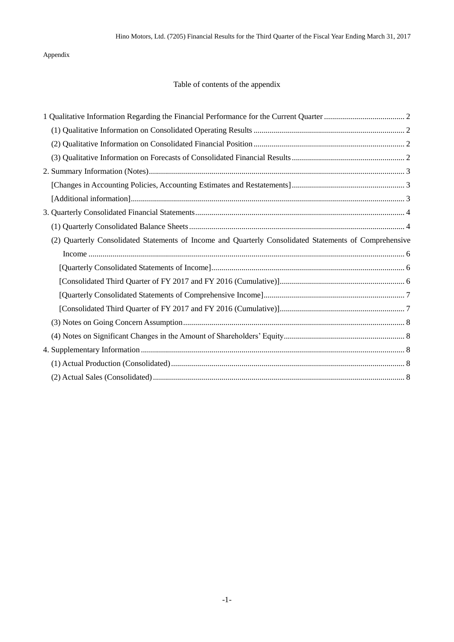## Appendix

## Table of contents of the appendix

| (2) Quarterly Consolidated Statements of Income and Quarterly Consolidated Statements of Comprehensive |  |
|--------------------------------------------------------------------------------------------------------|--|
|                                                                                                        |  |
|                                                                                                        |  |
|                                                                                                        |  |
|                                                                                                        |  |
|                                                                                                        |  |
|                                                                                                        |  |
|                                                                                                        |  |
|                                                                                                        |  |
|                                                                                                        |  |
|                                                                                                        |  |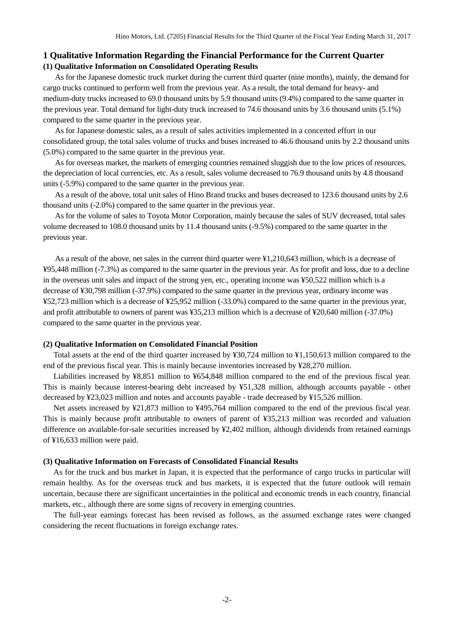#### <span id="page-3-1"></span><span id="page-3-0"></span>**1 Qualitative Information Regarding the Financial Performance for the Current Quarter (1) Qualitative Information on Consolidated Operating Results**

As for the Japanese domestic truck market during the current third quarter (nine months), mainly, the demand for cargo trucks continued to perform well from the previous year. As a result, the total demand for heavy- and medium-duty trucks increased to 69.0 thousand units by 5.9 thousand units (9.4%) compared to the same quarter in the previous year. Total demand for light-duty truck increased to 74.6 thousand units by 3.6 thousand units (5.1%) compared to the same quarter in the previous year.

As for Japanese domestic sales, as a result of sales activities implemented in a concerted effort in our consolidated group, the total sales volume of trucks and buses increased to 46.6 thousand units by 2.2 thousand units (5.0%) compared to the same quarter in the previous year.

As for overseas market, the markets of emerging countries remained sluggish due to the low prices of resources, the depreciation of local currencies, etc. As a result, sales volume decreased to 76.9 thousand units by 4.8 thousand units (-5.9%) compared to the same quarter in the previous year.

As a result of the above, total unit sales of Hino Brand trucks and buses decreased to 123.6 thousand units by 2.6 thousand units (-2.0%) compared to the same quarter in the previous year.

As for the volume of sales to Toyota Motor Corporation, mainly because the sales of SUV decreased, total sales volume decreased to 108.0 thousand units by 11.4 thousand units (-9.5%) compared to the same quarter in the previous year.

As a result of the above, net sales in the current third quarter were ¥1,210,643 million, which is a decrease of ¥95,448 million (-7.3%) as compared to the same quarter in the previous year. As for profit and loss, due to a decline in the overseas unit sales and impact of the strong yen, etc., operating income was ¥50,522 million which is a decrease of ¥30,798 million (-37.9%) compared to the same quarter in the previous year, ordinary income was ¥52,723 million which is a decrease of ¥25,952 million (-33.0%) compared to the same quarter in the previous year, and profit attributable to owners of parent was ¥35,213 million which is a decrease of ¥20,640 million (-37.0%) compared to the same quarter in the previous year.

#### <span id="page-3-2"></span>**(2) Qualitative Information on Consolidated Financial Position**

Total assets at the end of the third quarter increased by ¥30,724 million to ¥1,150,613 million compared to the end of the previous fiscal year. This is mainly because inventories increased by ¥28,270 million.

Liabilities increased by ¥8,851 million to ¥654,848 million compared to the end of the previous fiscal year. This is mainly because interest-bearing debt increased by ¥51,328 million, although accounts payable - other decreased by ¥23,023 million and notes and accounts payable - trade decreased by ¥15,526 million.

Net assets increased by ¥21,873 million to ¥495,764 million compared to the end of the previous fiscal year. This is mainly because profit attributable to owners of parent of ¥35,213 million was recorded and valuation difference on available-for-sale securities increased by ¥2,402 million, although dividends from retained earnings of ¥16,633 million were paid.

#### <span id="page-3-3"></span>**(3) Qualitative Information on Forecasts of Consolidated Financial Results**

As for the truck and bus market in Japan, it is expected that the performance of cargo trucks in particular will remain healthy. As for the overseas truck and bus markets, it is expected that the future outlook will remain uncertain, because there are significant uncertainties in the political and economic trends in each country, financial markets, etc., although there are some signs of recovery in emerging countries.

The full-year earnings forecast has been revised as follows, as the assumed exchange rates were changed considering the recent fluctuations in foreign exchange rates.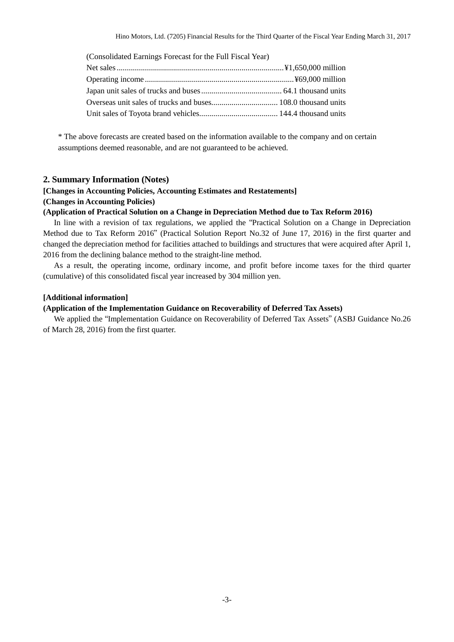| (Consolidated Earnings Forecast for the Full Fiscal Year) |  |
|-----------------------------------------------------------|--|
|                                                           |  |
|                                                           |  |
|                                                           |  |
|                                                           |  |
|                                                           |  |

\* The above forecasts are created based on the information available to the company and on certain assumptions deemed reasonable, and are not guaranteed to be achieved.

#### <span id="page-4-0"></span>**2. Summary Information (Notes)**

#### <span id="page-4-1"></span>**[Changes in Accounting Policies, Accounting Estimates and Restatements] (Changes in Accounting Policies)**

#### **(Application of Practical Solution on a Change in Depreciation Method due to Tax Reform 2016)**

In line with a revision of tax regulations, we applied the "Practical Solution on a Change in Depreciation Method due to Tax Reform 2016" (Practical Solution Report No.32 of June 17, 2016) in the first quarter and changed the depreciation method for facilities attached to buildings and structures that were acquired after April 1, 2016 from the declining balance method to the straight-line method.

As a result, the operating income, ordinary income, and profit before income taxes for the third quarter (cumulative) of this consolidated fiscal year increased by 304 million yen.

#### <span id="page-4-2"></span>**[Additional information]**

#### **(Application of the Implementation Guidance on Recoverability of Deferred Tax Assets)**

We applied the "Implementation Guidance on Recoverability of Deferred Tax Assets" (ASBJ Guidance No.26 of March 28, 2016) from the first quarter.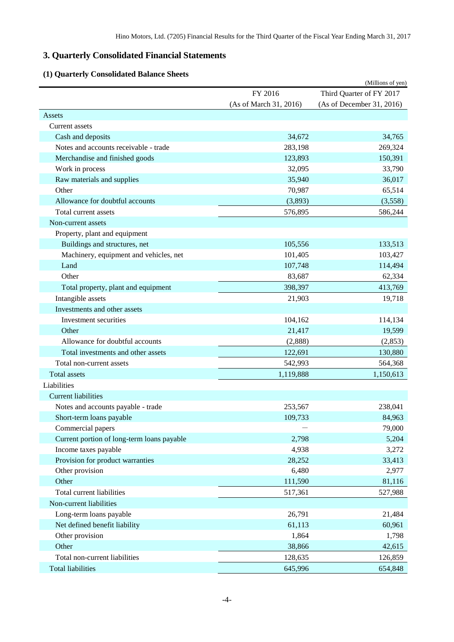# <span id="page-5-0"></span>**3. Quarterly Consolidated Financial Statements**

# <span id="page-5-1"></span>**(1) Quarterly Consolidated Balance Sheets**

| Qual terry Consonuated Dalance SI          |                        | (Millions of yen)         |
|--------------------------------------------|------------------------|---------------------------|
|                                            | FY 2016                | Third Quarter of FY 2017  |
|                                            | (As of March 31, 2016) | (As of December 31, 2016) |
| Assets                                     |                        |                           |
| Current assets                             |                        |                           |
| Cash and deposits                          | 34,672                 | 34,765                    |
| Notes and accounts receivable - trade      | 283,198                | 269,324                   |
| Merchandise and finished goods             | 123,893                | 150,391                   |
| Work in process                            | 32,095                 | 33,790                    |
| Raw materials and supplies                 | 35,940                 | 36,017                    |
| Other                                      | 70,987                 | 65,514                    |
| Allowance for doubtful accounts            | (3,893)                | (3,558)                   |
| Total current assets                       | 576,895                | 586,244                   |
| Non-current assets                         |                        |                           |
| Property, plant and equipment              |                        |                           |
| Buildings and structures, net              | 105,556                | 133,513                   |
| Machinery, equipment and vehicles, net     | 101,405                | 103,427                   |
| Land                                       | 107,748                | 114,494                   |
| Other                                      | 83,687                 | 62,334                    |
| Total property, plant and equipment        | 398,397                | 413,769                   |
| Intangible assets                          | 21,903                 | 19,718                    |
| Investments and other assets               |                        |                           |
| Investment securities                      | 104,162                | 114,134                   |
| Other                                      | 21,417                 | 19,599                    |
| Allowance for doubtful accounts            | (2,888)                | (2,853)                   |
| Total investments and other assets         | 122,691                | 130,880                   |
| Total non-current assets                   | 542,993                | 564,368                   |
| <b>Total assets</b>                        | 1,119,888              | 1,150,613                 |
| Liabilities                                |                        |                           |
| <b>Current liabilities</b>                 |                        |                           |
| Notes and accounts payable - trade         | 253,567                | 238,041                   |
| Short-term loans payable                   | 109,733                | 84,963                    |
| Commercial papers                          |                        | 79,000                    |
| Current portion of long-term loans payable | 2,798                  | 5,204                     |
| Income taxes payable                       | 4,938                  | 3,272                     |
| Provision for product warranties           | 28,252                 | 33,413                    |
| Other provision                            | 6,480                  | 2,977                     |
| Other                                      | 111,590                | 81,116                    |
| Total current liabilities                  | 517,361                | 527,988                   |
| Non-current liabilities                    |                        |                           |
| Long-term loans payable                    | 26,791                 | 21,484                    |
| Net defined benefit liability              | 61,113                 | 60,961                    |
| Other provision                            | 1,864                  | 1,798                     |
| Other                                      | 38,866                 | 42,615                    |
| Total non-current liabilities              | 128,635                | 126,859                   |
| <b>Total liabilities</b>                   | 645,996                | 654,848                   |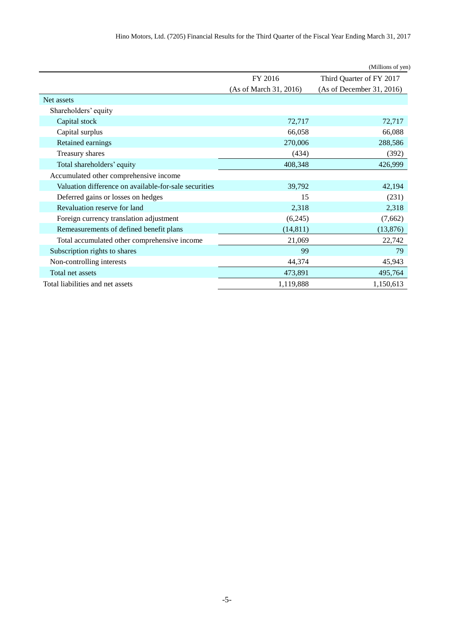|                                                       |                        | (Millions of yen)         |
|-------------------------------------------------------|------------------------|---------------------------|
|                                                       | FY 2016                | Third Quarter of FY 2017  |
|                                                       | (As of March 31, 2016) | (As of December 31, 2016) |
| Net assets                                            |                        |                           |
| Shareholders' equity                                  |                        |                           |
| Capital stock                                         | 72,717                 | 72,717                    |
| Capital surplus                                       | 66,058                 | 66,088                    |
| Retained earnings                                     | 270,006                | 288,586                   |
| Treasury shares                                       | (434)                  | (392)                     |
| Total shareholders' equity                            | 408,348                | 426,999                   |
| Accumulated other comprehensive income                |                        |                           |
| Valuation difference on available-for-sale securities | 39,792                 | 42,194                    |
| Deferred gains or losses on hedges                    | 15                     | (231)                     |
| Revaluation reserve for land                          | 2,318                  | 2,318                     |
| Foreign currency translation adjustment               | (6,245)                | (7,662)                   |
| Remeasurements of defined benefit plans               | (14, 811)              | (13, 876)                 |
| Total accumulated other comprehensive income          | 21,069                 | 22,742                    |
| Subscription rights to shares                         | 99                     | 79                        |
| Non-controlling interests                             | 44,374                 | 45,943                    |
| Total net assets                                      | 473,891                | 495,764                   |
| Total liabilities and net assets                      | 1,119,888              | 1,150,613                 |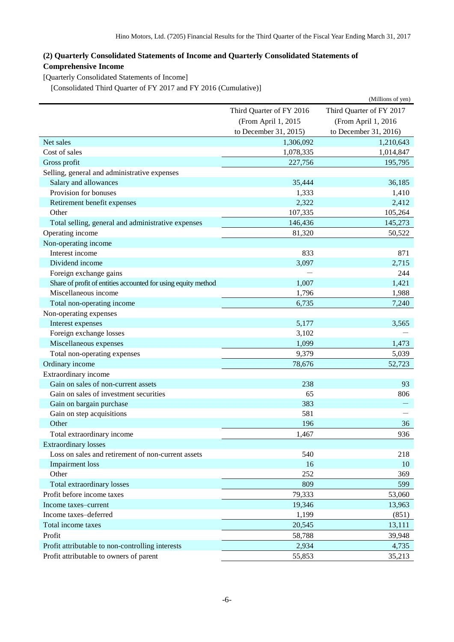## <span id="page-7-0"></span>**(2) Quarterly Consolidated Statements of Income and Quarterly Consolidated Statements of Comprehensive Income**

<span id="page-7-1"></span>[Quarterly Consolidated Statements of Income]

<span id="page-7-2"></span>[Consolidated Third Quarter of FY 2017 and FY 2016 (Cumulative)]

|                                                               |                          | (Millions of yen)        |  |
|---------------------------------------------------------------|--------------------------|--------------------------|--|
|                                                               | Third Quarter of FY 2016 | Third Quarter of FY 2017 |  |
|                                                               | (From April 1, 2015      | (From April 1, 2016      |  |
|                                                               | to December 31, 2015)    | to December 31, 2016)    |  |
| Net sales                                                     | 1,306,092                | 1,210,643                |  |
| Cost of sales                                                 | 1,078,335                | 1,014,847                |  |
| Gross profit                                                  | 227,756                  | 195,795                  |  |
| Selling, general and administrative expenses                  |                          |                          |  |
| Salary and allowances                                         | 35,444                   | 36,185                   |  |
| Provision for bonuses                                         | 1,333                    | 1,410                    |  |
| Retirement benefit expenses                                   | 2,322                    | 2,412                    |  |
| Other                                                         | 107,335                  | 105,264                  |  |
| Total selling, general and administrative expenses            | 146,436                  | 145,273                  |  |
| Operating income                                              | 81,320                   | 50,522                   |  |
| Non-operating income                                          |                          |                          |  |
| Interest income                                               | 833                      | 871                      |  |
| Dividend income                                               | 3,097                    | 2,715                    |  |
| Foreign exchange gains                                        |                          | 244                      |  |
| Share of profit of entities accounted for using equity method | 1,007                    | 1,421                    |  |
| Miscellaneous income                                          | 1,796                    | 1,988                    |  |
| Total non-operating income                                    | 6,735                    | 7,240                    |  |
| Non-operating expenses                                        |                          |                          |  |
| Interest expenses                                             | 5,177                    | 3,565                    |  |
| Foreign exchange losses                                       | 3,102                    |                          |  |
| Miscellaneous expenses                                        | 1,099                    | 1,473                    |  |
| Total non-operating expenses                                  | 9,379                    | 5,039                    |  |
| Ordinary income                                               | 78,676                   | 52,723                   |  |
| Extraordinary income                                          |                          |                          |  |
| Gain on sales of non-current assets                           | 238                      | 93                       |  |
| Gain on sales of investment securities                        | 65                       | 806                      |  |
| Gain on bargain purchase                                      | 383                      |                          |  |
| Gain on step acquisitions                                     | 581                      |                          |  |
| Other                                                         | 196                      | 36                       |  |
| Total extraordinary income                                    | 1,467                    | 936                      |  |
| <b>Extraordinary losses</b>                                   |                          |                          |  |
| Loss on sales and retirement of non-current assets            | 540                      | 218                      |  |
| <b>Impairment</b> loss                                        | 16                       | <b>10</b>                |  |
| Other                                                         | 252                      | 369                      |  |
| Total extraordinary losses                                    | 809                      | 599                      |  |
| Profit before income taxes                                    | 79,333                   | 53,060                   |  |
| Income taxes-current                                          | 19,346                   | 13,963                   |  |
| Income taxes-deferred                                         | 1,199                    | (851)                    |  |
| Total income taxes                                            | 20,545                   | 13,111                   |  |
| Profit                                                        | 58,788                   | 39,948                   |  |
| Profit attributable to non-controlling interests              | 2,934                    | 4,735                    |  |
| Profit attributable to owners of parent                       | 55,853                   | 35,213                   |  |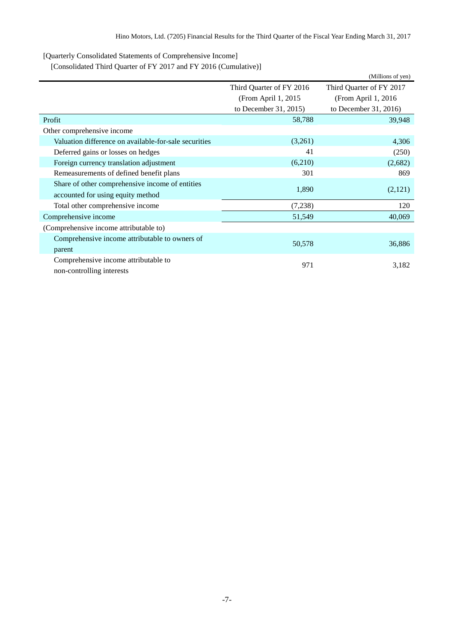<span id="page-8-0"></span>[Quarterly Consolidated Statements of Comprehensive Income]

<span id="page-8-1"></span>[Consolidated Third Quarter of FY 2017 and FY 2016 (Cumulative)]

|                                                       |                          | (Millions of yen)        |  |
|-------------------------------------------------------|--------------------------|--------------------------|--|
|                                                       | Third Quarter of FY 2016 | Third Quarter of FY 2017 |  |
|                                                       | (From April 1, 2015)     | (From April 1, 2016)     |  |
|                                                       | to December 31, 2015)    | to December 31, 2016)    |  |
| Profit                                                | 58,788                   | 39,948                   |  |
| Other comprehensive income                            |                          |                          |  |
| Valuation difference on available-for-sale securities | (3,261)                  | 4,306                    |  |
| Deferred gains or losses on hedges                    | 41                       | (250)                    |  |
| Foreign currency translation adjustment               | (6,210)                  | (2,682)                  |  |
| Remeasurements of defined benefit plans               | 301                      | 869                      |  |
| Share of other comprehensive income of entities       |                          |                          |  |
| accounted for using equity method                     | 1,890                    | (2,121)                  |  |
| Total other comprehensive income                      | (7,238)                  | 120                      |  |
| Comprehensive income                                  | 51,549                   | 40,069                   |  |
| (Comprehensive income attributable to)                |                          |                          |  |
| Comprehensive income attributable to owners of        |                          |                          |  |
| parent                                                | 50,578                   | 36,886                   |  |
| Comprehensive income attributable to                  |                          | 3,182                    |  |
| non-controlling interests                             | 971                      |                          |  |